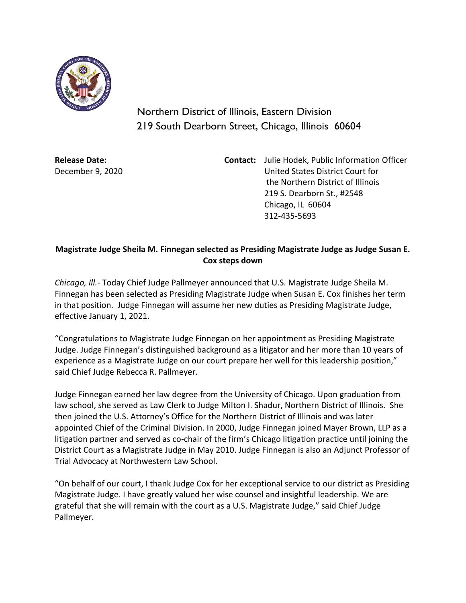

Northern District of Illinois, Eastern Division 219 South Dearborn Street, Chicago, Illinois 60604

**Release Date:** December 9, 2020 **Contact:** Julie Hodek, Public Information Officer United States District Court for the Northern District of Illinois 219 S. Dearborn St., #2548 Chicago, IL 60604 312-435-5693

## **Magistrate Judge Sheila M. Finnegan selected as Presiding Magistrate Judge as Judge Susan E. Cox steps down**

*Chicago, Ill.-* Today Chief Judge Pallmeyer announced that U.S. Magistrate Judge Sheila M. Finnegan has been selected as Presiding Magistrate Judge when Susan E. Cox finishes her term in that position. Judge Finnegan will assume her new duties as Presiding Magistrate Judge, effective January 1, 2021.

"Congratulations to Magistrate Judge Finnegan on her appointment as Presiding Magistrate Judge. Judge Finnegan's distinguished background as a litigator and her more than 10 years of experience as a Magistrate Judge on our court prepare her well for this leadership position," said Chief Judge Rebecca R. Pallmeyer.

Judge Finnegan earned her law degree from the University of Chicago. Upon graduation from law school, she served as Law Clerk to Judge Milton I. Shadur, Northern District of Illinois. She then joined the U.S. Attorney's Office for the Northern District of Illinois and was later appointed Chief of the Criminal Division. In 2000, Judge Finnegan joined Mayer Brown, LLP as a litigation partner and served as co-chair of the firm's Chicago litigation practice until joining the District Court as a Magistrate Judge in May 2010. Judge Finnegan is also an Adjunct Professor of Trial Advocacy at Northwestern Law School.

"On behalf of our court, I thank Judge Cox for her exceptional service to our district as Presiding Magistrate Judge. I have greatly valued her wise counsel and insightful leadership. We are grateful that she will remain with the court as a U.S. Magistrate Judge," said Chief Judge Pallmeyer.